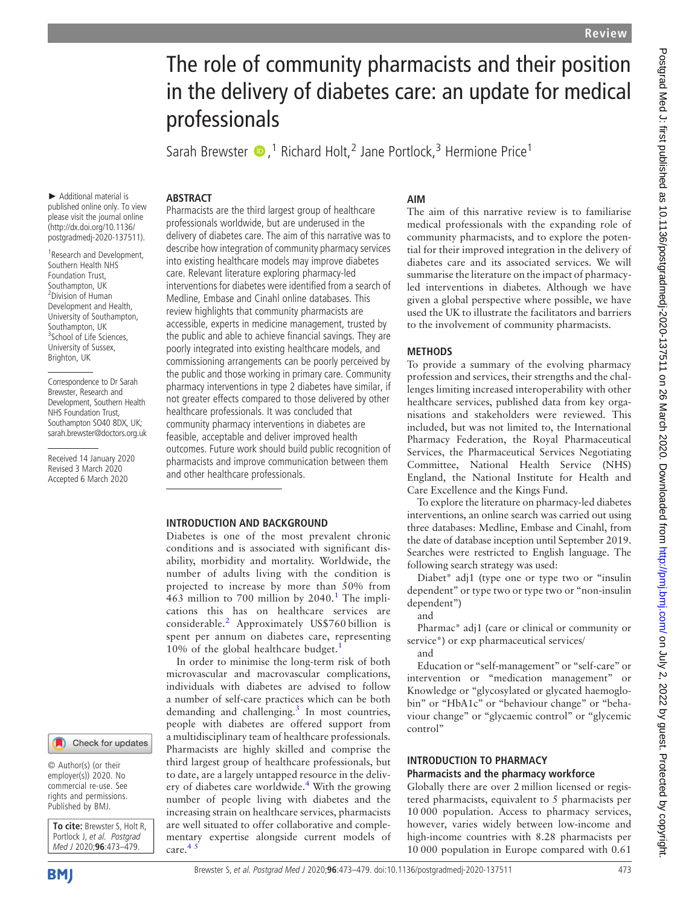# The role of community pharmacists and their position in the delivery of diabetes care: an update for medical professionals

Sarah Brewster  $\bullet$ ,<sup>1</sup> Richard Holt,<sup>2</sup> Jane Portlock,<sup>3</sup> Hermione Price<sup>1</sup>

#### **ABSTRACT**

► Additional material is published online only. To view please visit the journal online [\(http://dx.doi.org/10.1136/](http://dx.doi.org/10.1136/postgradmedj-2020-137511) [postgradmedj-2020-137511](http://dx.doi.org/10.1136/postgradmedj-2020-137511)).

1 Research and Development, Southern Health NHS Foundation Trust, Southampton, UK 2 Division of Human Development and Health, University of Southampton, Southampton, UK <sup>3</sup>School of Life Sciences, University of Sussex, Brighton, UK

Correspondence to Dr Sarah Brewster, Research and Development, Southern Health NHS Foundation Trust, Southampton SO40 8DX, UK; [sarah.brewster@doctors.org.uk](mailto:sarah.brewster@doctors.org.uk)

Received 14 January 2020 Revised 3 March 2020 Accepted 6 March 2020



© Author(s) (or their employer(s)) 2020. No commercial re-use. See rights and permissions. Published by BMJ.

To cite: Brewster S, Holt R, Portlock J, et al. Postgrad Med J 2020;96:473-479

**BMI** 

Pharmacists are the third largest group of healthcare professionals worldwide, but are underused in the delivery of diabetes care. The aim of this narrative was to describe how integration of community pharmacy services into existing healthcare models may improve diabetes care. Relevant literature exploring pharmacy-led interventions for diabetes were identified from a search of Medline, Embase and Cinahl online databases. This review highlights that community pharmacists are accessible, experts in medicine management, trusted by the public and able to achieve financial savings. They are poorly integrated into existing healthcare models, and commissioning arrangements can be poorly perceived by the public and those working in primary care. Community pharmacy interventions in type 2 diabetes have similar, if not greater effects compared to those delivered by other healthcare professionals. It was concluded that community pharmacy interventions in diabetes are feasible, acceptable and deliver improved health outcomes. Future work should build public recognition of pharmacists and improve communication between them and other healthcare professionals.

#### INTRODUCTION AND BACKGROUND

Diabetes is one of the most prevalent chronic conditions and is associated with significant disability, morbidity and mortality. Worldwide, the number of adults living with the condition is projected to increase by more than 50% from 463 million to 700 million by  $2040<sup>1</sup>$  $2040<sup>1</sup>$  $2040<sup>1</sup>$ . The implications this has on healthcare services are considerable.[2](#page-5-1) Approximately US\$760 billion is spent per annum on diabetes care, representing [1](#page-5-0)0% of the global healthcare budget.<sup>1</sup>

In order to minimise the long-term risk of both microvascular and macrovascular complications, individuals with diabetes are advised to follow a number of self-care practices which can be both demanding and challenging.<sup>[3](#page-5-2)</sup> In most countries, people with diabetes are offered support from a multidisciplinary team of healthcare professionals. Pharmacists are highly skilled and comprise the third largest group of healthcare professionals, but to date, are a largely untapped resource in the delivery of diabetes care worldwide. $4$  With the growing number of people living with diabetes and the increasing strain on healthcare services, pharmacists are well situated to offer collaborative and complementary expertise alongside current models of care.<sup>4</sup>

# AIM

The aim of this narrative review is to familiarise medical professionals with the expanding role of community pharmacists, and to explore the potential for their improved integration in the delivery of diabetes care and its associated services. We will summarise the literature on the impact of pharmacyled interventions in diabetes. Although we have given a global perspective where possible, we have used the UK to illustrate the facilitators and barriers to the involvement of community pharmacists.

## **METHODS**

To provide a summary of the evolving pharmacy profession and services, their strengths and the challenges limiting increased interoperability with other healthcare services, published data from key organisations and stakeholders were reviewed. This included, but was not limited to, the International Pharmacy Federation, the Royal Pharmaceutical Services, the Pharmaceutical Services Negotiating Committee, National Health Service (NHS) England, the National Institute for Health and Care Excellence and the Kings Fund.

To explore the literature on pharmacy-led diabetes interventions, an online search was carried out using three databases: Medline, Embase and Cinahl, from the date of database inception until September 2019. Searches were restricted to English language. The following search strategy was used:

Diabet\* adj1 (type one or type two or "insulin dependent" or type two or type two or "non-insulin dependent")

and

Pharmac\* adj1 (care or clinical or community or service\*) or exp pharmaceutical services/

and

Education or "self-management" or "self-care" or intervention or "medication management" or Knowledge or "glycosylated or glycated haemoglobin" or "HbA1c" or "behaviour change" or "behaviour change" or "glycaemic control" or "glycemic control"

# INTRODUCTION TO PHARMACY Pharmacists and the pharmacy workforce

Globally there are over 2 million licensed or registered pharmacists, equivalent to 5 pharmacists per 10 000 population. Access to pharmacy services, however, varies widely between low-income and high-income countries with 8.28 pharmacists per 10 000 population in Europe compared with 0.61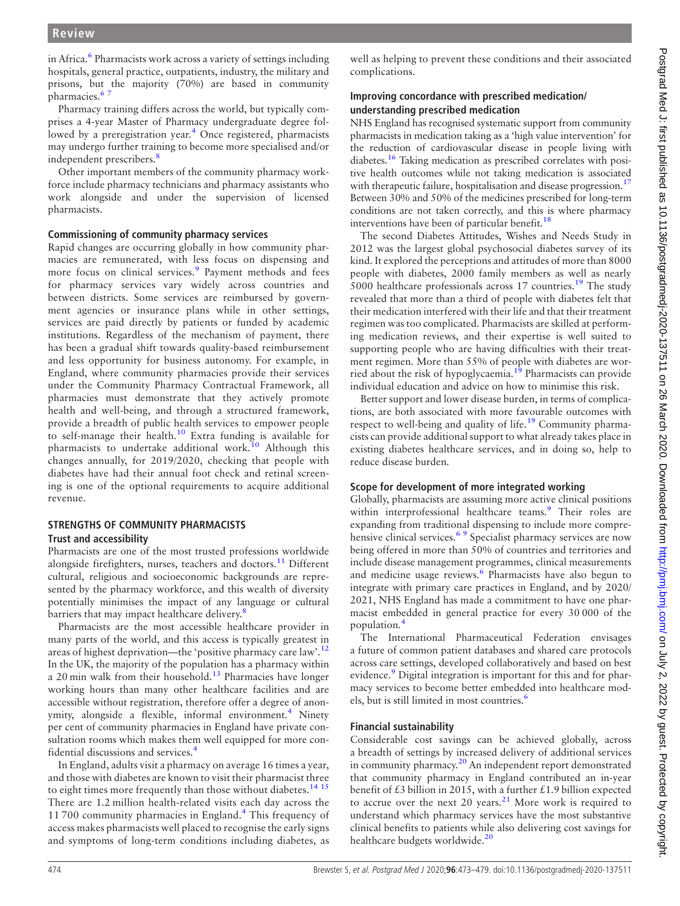in Africa.<sup>[6](#page-5-4)</sup> Pharmacists work across a variety of settings including hospitals, general practice, outpatients, industry, the military and prisons, but the majority (70%) are based in community pharmacies.<sup>67</sup>

Pharmacy training differs across the world, but typically comprises a 4-year Master of Pharmacy undergraduate degree fol-lowed by a preregistration year.<sup>[4](#page-5-3)</sup> Once registered, pharmacists may undergo further training to become more specialised and/or independent prescribers.<sup>[8](#page-5-5)</sup>

Other important members of the community pharmacy workforce include pharmacy technicians and pharmacy assistants who work alongside and under the supervision of licensed pharmacists.

## Commissioning of community pharmacy services

Rapid changes are occurring globally in how community pharmacies are remunerated, with less focus on dispensing and more focus on clinical services.<sup>[9](#page-5-6)</sup> Payment methods and fees for pharmacy services vary widely across countries and between districts. Some services are reimbursed by government agencies or insurance plans while in other settings, services are paid directly by patients or funded by academic institutions. Regardless of the mechanism of payment, there has been a gradual shift towards quality-based reimbursement and less opportunity for business autonomy. For example, in England, where community pharmacies provide their services under the Community Pharmacy Contractual Framework, all pharmacies must demonstrate that they actively promote health and well-being, and through a structured framework, provide a breadth of public health services to empower people to self-manage their health.<sup>[10](#page-5-7)</sup> Extra funding is available for pharmacists to undertake additional work.<sup>[10](#page-5-7)</sup> Although this changes annually, for 2019/2020, checking that people with diabetes have had their annual foot check and retinal screening is one of the optional requirements to acquire additional revenue.

## STRENGTHS OF COMMUNITY PHARMACISTS Trust and accessibility

Pharmacists are one of the most trusted professions worldwide alongside firefighters, nurses, teachers and doctors. $11$  Different cultural, religious and socioeconomic backgrounds are represented by the pharmacy workforce, and this wealth of diversity potentially minimises the impact of any language or cultural barriers that may impact healthcare delivery.<sup>[8](#page-5-5)</sup>

Pharmacists are the most accessible healthcare provider in many parts of the world, and this access is typically greatest in areas of highest deprivation—the 'positive pharmacy care law'.<sup>[12](#page-5-9)</sup> In the UK, the majority of the population has a pharmacy within a 20 min walk from their household.<sup>[13](#page-5-10)</sup> Pharmacies have longer working hours than many other healthcare facilities and are accessible without registration, therefore offer a degree of anon-ymity, alongside a flexible, informal environment.<sup>[4](#page-5-3)</sup> Ninety per cent of community pharmacies in England have private consultation rooms which makes them well equipped for more confidential discussions and services.[4](#page-5-3)

In England, adults visit a pharmacy on average 16 times a year, and those with diabetes are known to visit their pharmacist three to eight times more frequently than those without diabetes.<sup>[14 15](#page-5-11)</sup> There are 1.2 million health-related visits each day across the 11 700 community pharmacies in England.<sup>[4](#page-5-3)</sup> This frequency of access makes pharmacists well placed to recognise the early signs and symptoms of long-term conditions including diabetes, as

well as helping to prevent these conditions and their associated complications.

# Improving concordance with prescribed medication/ understanding prescribed medication

NHS England has recognised systematic support from community pharmacists in medication taking as a 'high value intervention' for the reduction of cardiovascular disease in people living with diabetes.[16](#page-5-12) Taking medication as prescribed correlates with positive health outcomes while not taking medication is associated with therapeutic failure, hospitalisation and disease progression.<sup>17</sup> Between 30% and 50% of the medicines prescribed for long-term conditions are not taken correctly, and this is where pharmacy interventions have been of particular benefit.<sup>[18](#page-5-14)</sup>

The second Diabetes Attitudes, Wishes and Needs Study in 2012 was the largest global psychosocial diabetes survey of its kind. It explored the perceptions and attitudes of more than 8000 people with diabetes, 2000 family members as well as nearly 5000 healthcare professionals across  $17$  countries.<sup>[19](#page-5-15)</sup> The study revealed that more than a third of people with diabetes felt that their medication interfered with their life and that their treatment regimen was too complicated. Pharmacists are skilled at performing medication reviews, and their expertise is well suited to supporting people who are having difficulties with their treatment regimen. More than 55% of people with diabetes are wor-ried about the risk of hypoglycaemia.<sup>[19](#page-5-15)</sup> Pharmacists can provide individual education and advice on how to minimise this risk.

Better support and lower disease burden, in terms of complications, are both associated with more favourable outcomes with respect to well-being and quality of life.<sup>[19](#page-5-15)</sup> Community pharmacists can provide additional support to what already takes place in existing diabetes healthcare services, and in doing so, help to reduce disease burden.

# Scope for development of more integrated working

Globally, pharmacists are assuming more active clinical positions within interprofessional healthcare teams.<sup>[9](#page-5-6)</sup> Their roles are expanding from traditional dispensing to include more compre-hensive clinical services.<sup>[6 9](#page-5-4)</sup> Specialist pharmacy services are now being offered in more than 50% of countries and territories and include disease management programmes, clinical measurements and medicine usage reviews.<sup>[6](#page-5-4)</sup> Pharmacists have also begun to integrate with primary care practices in England, and by 2020/ 2021, NHS England has made a commitment to have one pharmacist embedded in general practice for every 30 000 of the population.[4](#page-5-3)

The International Pharmaceutical Federation envisages a future of common patient databases and shared care protocols across care settings, developed collaboratively and based on best evidence.<sup>[9](#page-5-6)</sup> Digital integration is important for this and for pharmacy services to become better embedded into healthcare mod-els, but is still limited in most countries.<sup>[6](#page-5-4)</sup>

# Financial sustainability

Considerable cost savings can be achieved globally, across a breadth of settings by increased delivery of additional services in community pharmacy.<sup>[20](#page-5-16)</sup> An independent report demonstrated that community pharmacy in England contributed an in-year benefit of  $£3$  billion in 2015, with a further  $£1.9$  billion expected to accrue over the next 20 years.<sup>[21](#page-5-17)</sup> More work is required to understand which pharmacy services have the most substantive clinical benefits to patients while also delivering cost savings for healthcare budgets worldwide.<sup>[20](#page-5-16)</sup>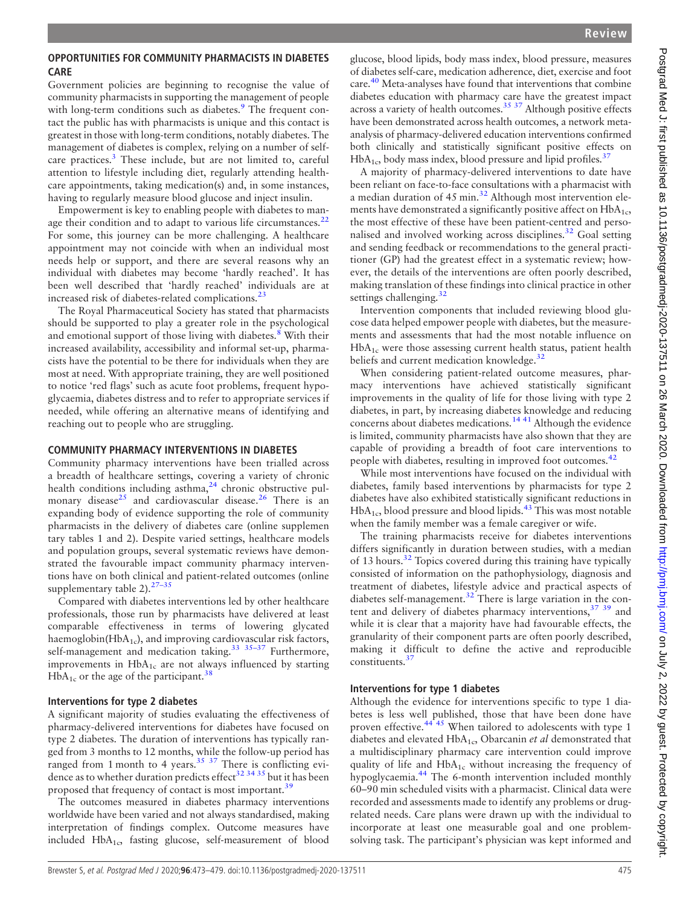# OPPORTUNITIES FOR COMMUNITY PHARMACISTS IN DIABETES CARE

Government policies are beginning to recognise the value of community pharmacists in supporting the management of people with long-term conditions such as diabetes.<sup>[9](#page-5-6)</sup> The frequent contact the public has with pharmacists is unique and this contact is greatest in those with long-term conditions, notably diabetes. The management of diabetes is complex, relying on a number of selfcare practices.<sup>3</sup> These include, but are not limited to, careful attention to lifestyle including diet, regularly attending healthcare appointments, taking medication(s) and, in some instances, having to regularly measure blood glucose and inject insulin.

Empowerment is key to enabling people with diabetes to man-age their condition and to adapt to various life circumstances.<sup>[22](#page-5-18)</sup> For some, this journey can be more challenging. A healthcare appointment may not coincide with when an individual most needs help or support, and there are several reasons why an individual with diabetes may become 'hardly reached'. It has been well described that 'hardly reached' individuals are at increased risk of diabetes-related complications. $^{23}$  $^{23}$  $^{23}$ 

The Royal Pharmaceutical Society has stated that pharmacists should be supported to play a greater role in the psychological and emotional support of those living with diabetes.<sup>[8](#page-5-5)</sup> With their increased availability, accessibility and informal set-up, pharmacists have the potential to be there for individuals when they are most at need. With appropriate training, they are well positioned to notice 'red flags' such as acute foot problems, frequent hypoglycaemia, diabetes distress and to refer to appropriate services if needed, while offering an alternative means of identifying and reaching out to people who are struggling.

# COMMUNITY PHARMACY INTERVENTIONS IN DIABETES

Community pharmacy interventions have been trialled across a breadth of healthcare settings, covering a variety of chronic health conditions including asthma,<sup>[24](#page-5-20)</sup> chronic obstructive pul-monary disease<sup>[25](#page-5-21)</sup> and cardiovascular disease.<sup>[26](#page-5-22)</sup> There is an expanding body of evidence supporting the role of community pharmacists in the delivery of diabetes care [\(online supplemen](https://dx.doi.org/10.1136/postgradmedj-2020-137511) [tary tables 1 and 2\)](https://dx.doi.org/10.1136/postgradmedj-2020-137511). Despite varied settings, healthcare models and population groups, several systematic reviews have demonstrated the favourable impact community pharmacy interventions have on both clinical and patient-related outcomes [\(online](https://dx.doi.org/10.1136/postgradmedj-2020-137511) [supplementary table 2\)](https://dx.doi.org/10.1136/postgradmedj-2020-137511).  $27-35$ 

Compared with diabetes interventions led by other healthcare professionals, those run by pharmacists have delivered at least comparable effectiveness in terms of lowering glycated haemoglobin( $HbA_{1c}$ ), and improving cardiovascular risk factors, self-management and medication taking.<sup>33</sup> <sup>35-37</sup> Furthermore, improvements in  $HbA_{1c}$  are not always influenced by starting  $HbA_{1c}$  or the age of the participant.<sup>[38](#page-5-25)</sup>

## Interventions for type 2 diabetes

A significant majority of studies evaluating the effectiveness of pharmacy-delivered interventions for diabetes have focused on type 2 diabetes. The duration of interventions has typically ranged from 3 months to 12 months, while the follow-up period has ranged from 1 month to 4 years. $35\frac{37}{1}$  There is conflicting evidence as to whether duration predicts effect<sup>32</sup> 34<sup>35</sup> but it has been proposed that frequency of contact is most important.<sup>[39](#page-6-0)</sup>

The outcomes measured in diabetes pharmacy interventions worldwide have been varied and not always standardised, making interpretation of findings complex. Outcome measures have included HbA<sub>1c</sub>, fasting glucose, self-measurement of blood

glucose, blood lipids, body mass index, blood pressure, measures of diabetes self-care, medication adherence, diet, exercise and foot care.[40](#page-6-1) Meta-analyses have found that interventions that combine diabetes education with pharmacy care have the greatest impact across a variety of health outcomes.<sup>35.37</sup> Although positive effects have been demonstrated across health outcomes, a network metaanalysis of pharmacy-delivered education interventions confirmed both clinically and statistically significant positive effects on  $HbA_{1c}$ , body mass index, blood pressure and lipid profiles.<sup>[37](#page-5-28)</sup>

A majority of pharmacy-delivered interventions to date have been reliant on face-to-face consultations with a pharmacist with a median duration of  $45$  min.<sup>[32](#page-5-27)</sup> Although most intervention elements have demonstrated a significantly positive affect on  $HbA_{1c}$ , the most effective of these have been patient-centred and personalised and involved working across disciplines.[32](#page-5-27) Goal setting and sending feedback or recommendations to the general practitioner (GP) had the greatest effect in a systematic review; however, the details of the interventions are often poorly described, making translation of these findings into clinical practice in other settings challenging. $32$ 

Intervention components that included reviewing blood glucose data helped empower people with diabetes, but the measurements and assessments that had the most notable influence on HbA1c were those assessing current health status, patient health beliefs and current medication knowledge.<sup>[32](#page-5-27)</sup>

When considering patient-related outcome measures, pharmacy interventions have achieved statistically significant improvements in the quality of life for those living with type 2 diabetes, in part, by increasing diabetes knowledge and reducing concerns about diabetes medications.<sup>[14 41](#page-5-11)</sup> Although the evidence is limited, community pharmacists have also shown that they are capable of providing a breadth of foot care interventions to people with diabetes, resulting in improved foot outcomes.<sup>[42](#page-6-2)</sup>

While most interventions have focused on the individual with diabetes, family based interventions by pharmacists for type 2 diabetes have also exhibited statistically significant reductions in  $HbA_{1c}$ , blood pressure and blood lipids.<sup>[43](#page-6-3)</sup> This was most notable when the family member was a female caregiver or wife.

The training pharmacists receive for diabetes interventions differs significantly in duration between studies, with a median of 13 hours[.32](#page-5-27) Topics covered during this training have typically consisted of information on the pathophysiology, diagnosis and treatment of diabetes, lifestyle advice and practical aspects of diabetes self-management.<sup>32</sup> There is large variation in the content and delivery of diabetes pharmacy interventions,<sup>37</sup> 39</sup> and while it is clear that a majority have had favourable effects, the granularity of their component parts are often poorly described, making it difficult to define the active and reproducible constituents.<sup>[37](#page-5-28)</sup>

# Interventions for type 1 diabetes

Although the evidence for interventions specific to type 1 diabetes is less well published, those that have been done have proven effective.<sup>[44 45](#page-6-4)</sup> When tailored to adolescents with type 1 diabetes and elevated  $HbA_{1c}$ , Obarcanin *et al* demonstrated that a multidisciplinary pharmacy care intervention could improve quality of life and  $HbA_{1c}$  without increasing the frequency of hypoglycaemia.[44](#page-6-4) The 6-month intervention included monthly 60–90 min scheduled visits with a pharmacist. Clinical data were recorded and assessments made to identify any problems or drugrelated needs. Care plans were drawn up with the individual to incorporate at least one measurable goal and one problemsolving task. The participant's physician was kept informed and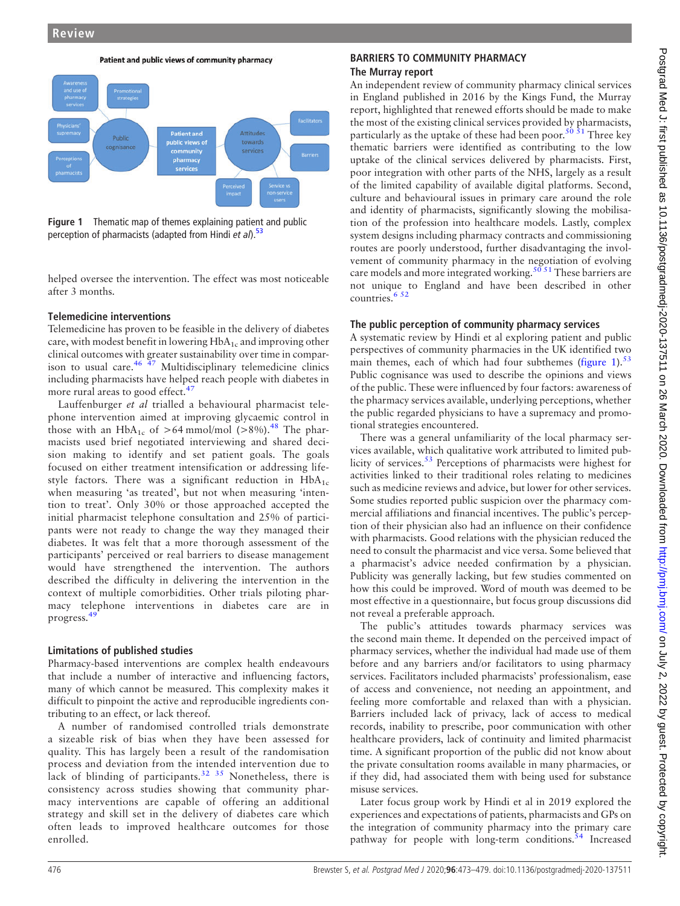

<span id="page-3-0"></span>

Figure 1 Thematic map of themes explaining patient and public perception of pharmacists (adapted from Hindi et al).<sup>53</sup>

helped oversee the intervention. The effect was most noticeable after 3 months.

## Telemedicine interventions

Telemedicine has proven to be feasible in the delivery of diabetes care, with modest benefit in lowering  $HbA_{1c}$  and improving other clinical outcomes with greater sustainability over time in comparison to usual care. $46\frac{47}{7}$  Multidisciplinary telemedicine clinics including pharmacists have helped reach people with diabetes in more rural areas to good effect.<sup>[47](#page-6-6)</sup>

Lauffenburger et al trialled a behavioural pharmacist telephone intervention aimed at improving glycaemic control in those with an HbA<sub>1c</sub> of >64 mmol/mol (>8%).<sup>[48](#page-6-7)</sup> The pharmacists used brief negotiated interviewing and shared decision making to identify and set patient goals. The goals focused on either treatment intensification or addressing lifestyle factors. There was a significant reduction in  $HbA_{1c}$ when measuring 'as treated', but not when measuring 'intention to treat'. Only 30% or those approached accepted the initial pharmacist telephone consultation and 25% of participants were not ready to change the way they managed their diabetes. It was felt that a more thorough assessment of the participants' perceived or real barriers to disease management would have strengthened the intervention. The authors described the difficulty in delivering the intervention in the context of multiple comorbidities. Other trials piloting pharmacy telephone interventions in diabetes care are in progress.[49](#page-6-8)

## Limitations of published studies

Pharmacy-based interventions are complex health endeavours that include a number of interactive and influencing factors, many of which cannot be measured. This complexity makes it difficult to pinpoint the active and reproducible ingredients contributing to an effect, or lack thereof.

A number of randomised controlled trials demonstrate a sizeable risk of bias when they have been assessed for quality. This has largely been a result of the randomisation process and deviation from the intended intervention due to lack of blinding of participants.<sup>32</sup> <sup>35</sup> Nonetheless, there is consistency across studies showing that community pharmacy interventions are capable of offering an additional strategy and skill set in the delivery of diabetes care which often leads to improved healthcare outcomes for those enrolled.

# BARRIERS TO COMMUNITY PHARMACY The Murray report

An independent review of community pharmacy clinical services in England published in 2016 by the Kings Fund, the Murray report, highlighted that renewed efforts should be made to make the most of the existing clinical services provided by pharmacists, particularly as the uptake of these had been poor.<sup>50</sup>  $\frac{51}{1}$  Three key thematic barriers were identified as contributing to the low uptake of the clinical services delivered by pharmacists. First, poor integration with other parts of the NHS, largely as a result of the limited capability of available digital platforms. Second, culture and behavioural issues in primary care around the role and identity of pharmacists, significantly slowing the mobilisation of the profession into healthcare models. Lastly, complex system designs including pharmacy contracts and commissioning routes are poorly understood, further disadvantaging the involvement of community pharmacy in the negotiation of evolving care models and more integrated working.<sup>[50 51](#page-6-9)</sup> These barriers are not unique to England and have been described in other countries.[6 52](#page-5-4)

# The public perception of community pharmacy services

A systematic review by Hindi et al exploring patient and public perspectives of community pharmacies in the UK identified two main themes, each of which had four subthemes ([figure 1](#page-3-0)). $53$ Public cognisance was used to describe the opinions and views of the public. These were influenced by four factors: awareness of the pharmacy services available, underlying perceptions, whether the public regarded physicians to have a supremacy and promotional strategies encountered.

There was a general unfamiliarity of the local pharmacy services available, which qualitative work attributed to limited pub-licity of services.<sup>[53](#page-6-10)</sup> Perceptions of pharmacists were highest for activities linked to their traditional roles relating to medicines such as medicine reviews and advice, but lower for other services. Some studies reported public suspicion over the pharmacy commercial affiliations and financial incentives. The public's perception of their physician also had an influence on their confidence with pharmacists. Good relations with the physician reduced the need to consult the pharmacist and vice versa. Some believed that a pharmacist's advice needed confirmation by a physician. Publicity was generally lacking, but few studies commented on how this could be improved. Word of mouth was deemed to be most effective in a questionnaire, but focus group discussions did not reveal a preferable approach.

The public's attitudes towards pharmacy services was the second main theme. It depended on the perceived impact of pharmacy services, whether the individual had made use of them before and any barriers and/or facilitators to using pharmacy services. Facilitators included pharmacists' professionalism, ease of access and convenience, not needing an appointment, and feeling more comfortable and relaxed than with a physician. Barriers included lack of privacy, lack of access to medical records, inability to prescribe, poor communication with other healthcare providers, lack of continuity and limited pharmacist time. A significant proportion of the public did not know about the private consultation rooms available in many pharmacies, or if they did, had associated them with being used for substance misuse services.

Later focus group work by Hindi et al in 2019 explored the experiences and expectations of patients, pharmacists and GPs on the integration of community pharmacy into the primary care pathway for people with long-term conditions.<sup>[54](#page-6-11)</sup> Increased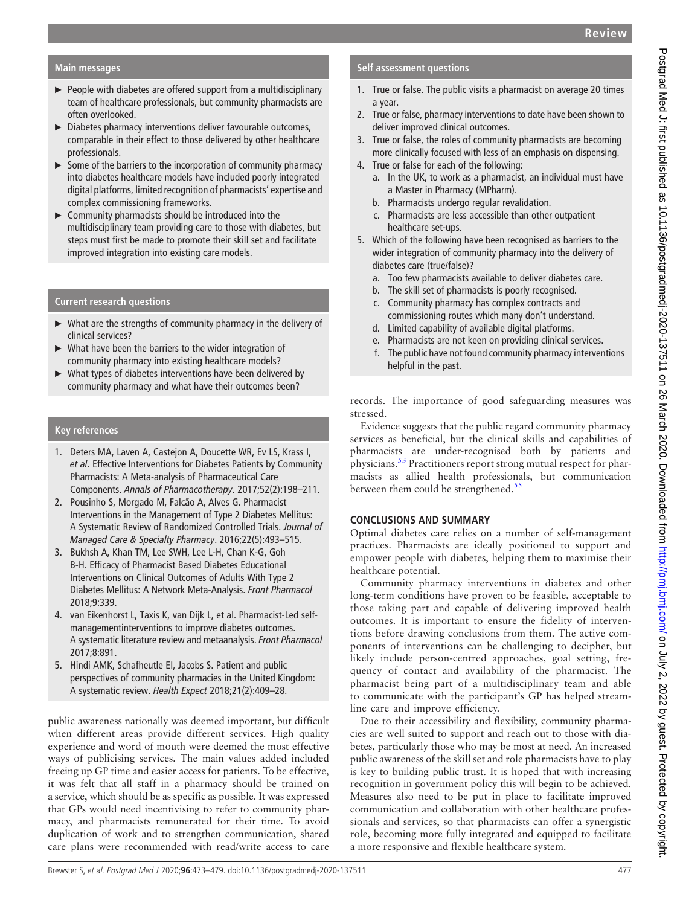# Main messages

- ► People with diabetes are offered support from a multidisciplinary team of healthcare professionals, but community pharmacists are often overlooked.
- ► Diabetes pharmacy interventions deliver favourable outcomes, comparable in their effect to those delivered by other healthcare professionals.
- $\triangleright$  Some of the barriers to the incorporation of community pharmacy into diabetes healthcare models have included poorly integrated digital platforms, limited recognition of pharmacists' expertise and complex commissioning frameworks.
- ► Community pharmacists should be introduced into the multidisciplinary team providing care to those with diabetes, but steps must first be made to promote their skill set and facilitate improved integration into existing care models.

# Current research questions

- ► What are the strengths of community pharmacy in the delivery of clinical services?
- What have been the barriers to the wider integration of community pharmacy into existing healthcare models?
- What types of diabetes interventions have been delivered by community pharmacy and what have their outcomes been?

# Key references

- 1. Deters MA, Laven A, Castejon A, Doucette WR, Ev LS, Krass I, et al. Effective Interventions for Diabetes Patients by Community Pharmacists: A Meta-analysis of Pharmaceutical Care Components. Annals of Pharmacotherapy. 2017;52(2):198–211.
- 2. Pousinho S, Morgado M, Falcão A, Alves G. Pharmacist Interventions in the Management of Type 2 Diabetes Mellitus: A Systematic Review of Randomized Controlled Trials. Journal of Managed Care & Specialty Pharmacy. 2016;22(5):493–515.
- 3. Bukhsh A, Khan TM, Lee SWH, Lee L-H, Chan K-G, Goh B-H. Efficacy of Pharmacist Based Diabetes Educational Interventions on Clinical Outcomes of Adults With Type 2 Diabetes Mellitus: A Network Meta-Analysis. Front Pharmacol 2018;9:339.
- 4. van Eikenhorst L, Taxis K, van Dijk L, et al. Pharmacist-Led selfmanagementinterventions to improve diabetes outcomes. A systematic literature review and metaanalysis. Front Pharmacol 2017;8:891.
- 5. Hindi AMK, Schafheutle EI, Jacobs S. Patient and public perspectives of community pharmacies in the United Kingdom: A systematic review. Health Expect 2018;21(2):409–28.

public awareness nationally was deemed important, but difficult when different areas provide different services. High quality experience and word of mouth were deemed the most effective ways of publicising services. The main values added included freeing up GP time and easier access for patients. To be effective, it was felt that all staff in a pharmacy should be trained on a service, which should be as specific as possible. It was expressed that GPs would need incentivising to refer to community pharmacy, and pharmacists remunerated for their time. To avoid duplication of work and to strengthen communication, shared care plans were recommended with read/write access to care

# Self assessment questions

- 1. True or false. The public visits a pharmacist on average 20 times a year.
- 2. True or false, pharmacy interventions to date have been shown to deliver improved clinical outcomes.
- 3. True or false, the roles of community pharmacists are becoming more clinically focused with less of an emphasis on dispensing.
- 4. True or false for each of the following:
	- a. In the UK, to work as a pharmacist, an individual must have a Master in Pharmacy (MPharm).
	- b. Pharmacists undergo regular revalidation.
	- c. Pharmacists are less accessible than other outpatient healthcare set-ups.
- 5. Which of the following have been recognised as barriers to the wider integration of community pharmacy into the delivery of diabetes care (true/false)?
	- a. Too few pharmacists available to deliver diabetes care.
	- b. The skill set of pharmacists is poorly recognised.
	- c. Community pharmacy has complex contracts and commissioning routes which many don't understand.
	- d. Limited capability of available digital platforms.
	- e. Pharmacists are not keen on providing clinical services.
	- f. The public have not found community pharmacy interventions helpful in the past.

records. The importance of good safeguarding measures was stressed.

Evidence suggests that the public regard community pharmacy services as beneficial, but the clinical skills and capabilities of pharmacists are under-recognised both by patients and physicians.[53](#page-6-10) Practitioners report strong mutual respect for pharmacists as allied health professionals, but communication between them could be strengthened. $55$ 

# CONCLUSIONS AND SUMMARY

Optimal diabetes care relies on a number of self-management practices. Pharmacists are ideally positioned to support and empower people with diabetes, helping them to maximise their healthcare potential.

Community pharmacy interventions in diabetes and other long-term conditions have proven to be feasible, acceptable to those taking part and capable of delivering improved health outcomes. It is important to ensure the fidelity of interventions before drawing conclusions from them. The active components of interventions can be challenging to decipher, but likely include person-centred approaches, goal setting, frequency of contact and availability of the pharmacist. The pharmacist being part of a multidisciplinary team and able to communicate with the participant's GP has helped streamline care and improve efficiency.

Due to their accessibility and flexibility, community pharmacies are well suited to support and reach out to those with diabetes, particularly those who may be most at need. An increased public awareness of the skill set and role pharmacists have to play is key to building public trust. It is hoped that with increasing recognition in government policy this will begin to be achieved. Measures also need to be put in place to facilitate improved communication and collaboration with other healthcare professionals and services, so that pharmacists can offer a synergistic role, becoming more fully integrated and equipped to facilitate a more responsive and flexible healthcare system.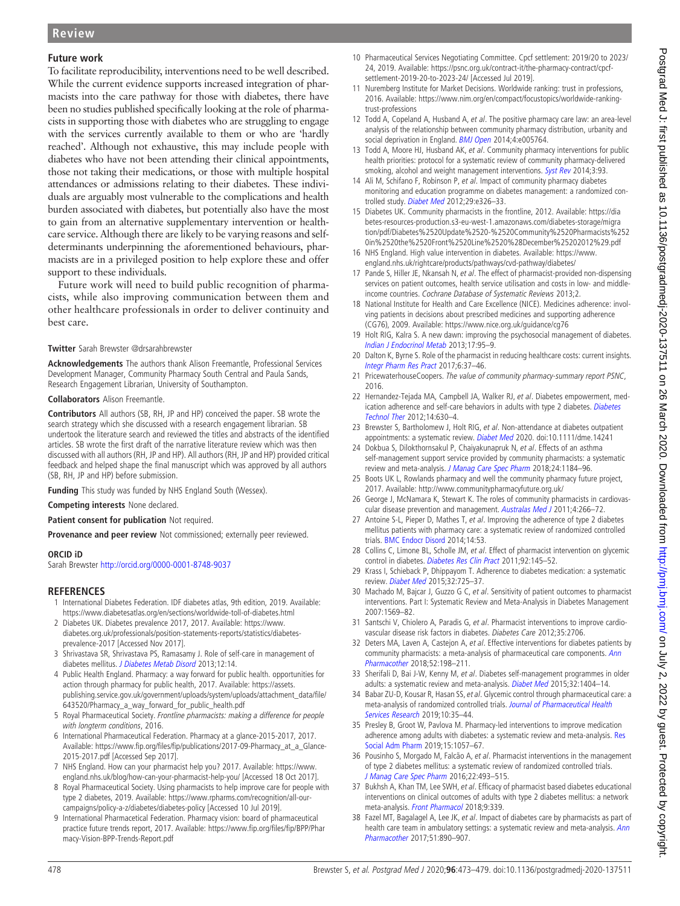## Future work

To facilitate reproducibility, interventions need to be well described. While the current evidence supports increased integration of pharmacists into the care pathway for those with diabetes, there have been no studies published specifically looking at the role of pharmacists in supporting those with diabetes who are struggling to engage with the services currently available to them or who are 'hardly reached'. Although not exhaustive, this may include people with diabetes who have not been attending their clinical appointments, those not taking their medications, or those with multiple hospital attendances or admissions relating to their diabetes. These individuals are arguably most vulnerable to the complications and health burden associated with diabetes, but potentially also have the most to gain from an alternative supplementary intervention or healthcare service. Although there are likely to be varying reasons and selfdeterminants underpinning the aforementioned behaviours, pharmacists are in a privileged position to help explore these and offer support to these individuals.

Future work will need to build public recognition of pharmacists, while also improving communication between them and other healthcare professionals in order to deliver continuity and best care.

#### Twitter Sarah Brewster @drsarahbrewster

Acknowledgements The authors thank Alison Freemantle, Professional Services Development Manager, Community Pharmacy South Central and Paula Sands, Research Engagement Librarian, University of Southampton.

Collaborators Alison Freemantle.

Contributors All authors (SB, RH, JP and HP) conceived the paper. SB wrote the search strategy which she discussed with a research engagement librarian. SB undertook the literature search and reviewed the titles and abstracts of the identified articles. SB wrote the first draft of the narrative literature review which was then discussed with all authors (RH, JP and HP). All authors (RH, JP and HP) provided critical feedback and helped shape the final manuscript which was approved by all authors (SB, RH, JP and HP) before submission.

Funding This study was funded by NHS England South (Wessex).

Competing interests None declared.

Patient consent for publication Not required.

Provenance and peer review Not commissioned; externally peer reviewed.

#### ORCID iD

Sarah Brewster <http://orcid.org/0000-0001-8748-9037>

#### **REFERENCES**

- <span id="page-5-0"></span>1 International Diabetes Federation. IDF diabetes atlas, 9th edition, 2019. Available: <https://www.diabetesatlas.org/en/sections/worldwide-toll-of-diabetes.html>
- <span id="page-5-1"></span>2 Diabetes UK. Diabetes prevalence 2017, 2017. Available: [https://www.](https://www.diabetes.org.uk/professionals/position-statements-reports/statistics/diabetes-prevalence-2017) [diabetes.org.uk/professionals/position-statements-reports/statistics/diabetes](https://www.diabetes.org.uk/professionals/position-statements-reports/statistics/diabetes-prevalence-2017)[prevalence-2017](https://www.diabetes.org.uk/professionals/position-statements-reports/statistics/diabetes-prevalence-2017) [Accessed Nov 2017].
- <span id="page-5-2"></span>3 Shrivastava SR, Shrivastava PS, Ramasamy J. Role of self-care in management of diabetes mellitus. [J Diabetes Metab Disord](https://dx.doi.org/10.1186/2251-6581-12-14) 2013;12:14.
- <span id="page-5-3"></span>4 Public Health England. Pharmacy: a way forward for public health. opportunities for action through pharmacy for public health, 2017. Available: [https://assets.](https://assets.publishing.service.gov.uk/government/uploads/system/uploads/attachment_data/file/643520/Pharmacy_a_way_forward_for_public_health.pdf) [publishing.service.gov.uk/government/uploads/system/uploads/attachment\\_data/](https://assets.publishing.service.gov.uk/government/uploads/system/uploads/attachment_data/file/643520/Pharmacy_a_way_forward_for_public_health.pdf)file/ [643520/Pharmacy\\_a\\_way\\_forward\\_for\\_public\\_health.pdf](https://assets.publishing.service.gov.uk/government/uploads/system/uploads/attachment_data/file/643520/Pharmacy_a_way_forward_for_public_health.pdf)
- 5 Royal Pharmaceutical Society. Frontline pharmacists: making a difference for people with longterm conditions, 2016.
- <span id="page-5-4"></span>6 International Pharmaceutical Federation. Pharmacy at a glance-2015-2017, 2017. Available: https://www.fip.org/files/fi[p/publications/2017-09-Pharmacy\\_at\\_a\\_Glance-](https://www.fip.org/files/fip/publications/2017-09-Pharmacy_at_a_Glance-2015-2017.pdf)[2015-2017.pdf](https://www.fip.org/files/fip/publications/2017-09-Pharmacy_at_a_Glance-2015-2017.pdf) [Accessed Sep 2017].
- 7 NHS England. How can your pharmacist help you? 2017. Available: [https://www.](https://www.england.nhs.uk/blog/how-can-your-pharmacist-help-you/) [england.nhs.uk/blog/how-can-your-pharmacist-help-you/](https://www.england.nhs.uk/blog/how-can-your-pharmacist-help-you/) [Accessed 18 Oct 2017].
- <span id="page-5-5"></span>8 Royal Pharmaceutical Society. Using pharmacists to help improve care for people with type 2 diabetes, 2019. Available: [https://www.rpharms.com/recognition/all-our](https://www.rpharms.com/recognition/all-our-campaigns/policy-a-z/diabetes/diabetes-policy)[campaigns/policy-a-z/diabetes/diabetes-policy](https://www.rpharms.com/recognition/all-our-campaigns/policy-a-z/diabetes/diabetes-policy) [Accessed 10 Jul 2019].
- <span id="page-5-6"></span>9 International Pharmacetical Federation. Pharmacy vision: board of pharmaceutical practice future trends report, 2017. Available: [https://www.](https://www.fip.org/files/fip/BPP/Pharmacy-Vision-BPP-Trends-Report.pdf)fip.org/files/fip/BPP/Phar [macy-Vision-BPP-Trends-Report.pdf](https://www.fip.org/files/fip/BPP/Pharmacy-Vision-BPP-Trends-Report.pdf)
- <span id="page-5-7"></span>10 Pharmaceutical Services Negotiating Committee. Cpcf settlement: 2019/20 to 2023/ 24, 2019. Available: [https://psnc.org.uk/contract-it/the-pharmacy-contract/cpcf](https://psnc.org.uk/contract-it/the-pharmacy-contract/cpcf-settlement-2019-20-to-2023-24/)[settlement-2019-20-to-2023-24/](https://psnc.org.uk/contract-it/the-pharmacy-contract/cpcf-settlement-2019-20-to-2023-24/) [Accessed Jul 2019].
- <span id="page-5-8"></span>11 Nuremberg Institute for Market Decisions. Worldwide ranking: trust in professions, 2016. Available: [https://www.nim.org/en/compact/focustopics/worldwide-ranking](https://www.nim.org/en/compact/focustopics/worldwide-ranking-trust-professions)[trust-professions](https://www.nim.org/en/compact/focustopics/worldwide-ranking-trust-professions)
- <span id="page-5-9"></span>12 Todd A, Copeland A, Husband A, et al. The positive pharmacy care law: an area-level analysis of the relationship between community pharmacy distribution, urbanity and social deprivation in England. **[BMJ Open](https://dx.doi.org/10.1136/bmjopen-2014-005764) 2014;4:e005764**.
- <span id="page-5-10"></span>13 Todd A, Moore HJ, Husband AK, et al. Community pharmacy interventions for public health priorities: protocol for a systematic review of community pharmacy-delivered smoking, alcohol and weight management interventions. [Syst Rev](https://dx.doi.org/10.1186/2046-4053-3-93) 2014;3:93.
- <span id="page-5-11"></span>14 Ali M, Schifano F, Robinson P, et al. Impact of community pharmacy diabetes monitoring and education programme on diabetes management: a randomized con-trolled study. [Diabet Med](https://dx.doi.org/10.1111/j.1464-5491.2012.03725.x) 2012;29:e326-33.
- 15 Diabetes UK. Community pharmacists in the frontline, 2012. Available: [https://dia](https://diabetes-resources-production.s3-eu-west-1.amazonaws.com/diabetes-storage/migration/pdf/Diabetes%2520Update%2520-%2520Community%2520Pharmacists%2520in%2520the%2520Front%2520Line%2520%28December%25202012%29.pdf) [betes-resources-production.s3-eu-west-1.amazonaws.com/diabetes-storage/migra](https://diabetes-resources-production.s3-eu-west-1.amazonaws.com/diabetes-storage/migration/pdf/Diabetes%2520Update%2520-%2520Community%2520Pharmacists%2520in%2520the%2520Front%2520Line%2520%28December%25202012%29.pdf) [tion/pdf/Diabetes%2520Update%2520-%2520Community%2520Pharmacists%252](https://diabetes-resources-production.s3-eu-west-1.amazonaws.com/diabetes-storage/migration/pdf/Diabetes%2520Update%2520-%2520Community%2520Pharmacists%2520in%2520the%2520Front%2520Line%2520%28December%25202012%29.pdf) [0in%2520the%2520Front%2520Line%2520%28December%25202012%29.pdf](https://diabetes-resources-production.s3-eu-west-1.amazonaws.com/diabetes-storage/migration/pdf/Diabetes%2520Update%2520-%2520Community%2520Pharmacists%2520in%2520the%2520Front%2520Line%2520%28December%25202012%29.pdf)
- <span id="page-5-12"></span>16 NHS England. High value intervention in diabetes. Available: [https://www.](https://www.england.nhs.uk/rightcare/products/pathways/cvd-pathway/diabetes/) [england.nhs.uk/rightcare/products/pathways/cvd-pathway/diabetes/](https://www.england.nhs.uk/rightcare/products/pathways/cvd-pathway/diabetes/)
- <span id="page-5-13"></span>17 Pande S, Hiller JE, Nkansah N, et al. The effect of pharmacist-provided non-dispensing services on patient outcomes, health service utilisation and costs in low- and middleincome countries. Cochrane Database of Systematic Reviews 2013;2.
- <span id="page-5-14"></span>18 National Institute for Health and Care Excellence (NICE). Medicines adherence: involving patients in decisions about prescribed medicines and supporting adherence (CG76), 2009. Available:<https://www.nice.org.uk/guidance/cg76>
- <span id="page-5-15"></span>19 Holt RIG, Kalra S. A new dawn: improving the psychosocial management of diabetes. [Indian J Endocrinol Metab](https://dx.doi.org/10.4103/2230-8210.119515) 2013;17:95–9.
- <span id="page-5-16"></span>20 Dalton K, Byrne S. Role of the pharmacist in reducing healthcare costs: current insights. [Integr Pharm Res Pract](https://dx.doi.org/10.2147/IPRP.S108047) 2017;6:37–46.
- <span id="page-5-17"></span>21 PricewaterhouseCoopers. The value of community pharmacy-summary report PSNC, 2016.
- <span id="page-5-18"></span>22 Hernandez-Tejada MA, Campbell JA, Walker RJ, et al. Diabetes empowerment, medication adherence and self-care behaviors in adults with type 2 diabetes. *[Diabetes](https://dx.doi.org/10.1089/dia.2011.0287)* [Technol Ther](https://dx.doi.org/10.1089/dia.2011.0287) 2012;14:630–4.
- <span id="page-5-19"></span>23 Brewster S, Bartholomew J, Holt RIG, et al. Non-attendance at diabetes outpatient appointments: a systematic review. [Diabet Med](https://dx.doi.org/10.1111/dme.14241) 2020. doi:10.1111/dme.14241
- <span id="page-5-20"></span>24 Dokbua S, Dilokthornsakul P, Chaiyakunapruk N, et al. Effects of an asthma self-management support service provided by community pharmacists: a systematic review and meta-analysis. [J Manag Care Spec Pharm](https://dx.doi.org/10.18553/jmcp.2018.24.11.1184) 2018;24:1184–96.
- <span id="page-5-21"></span>25 Boots UK L, Rowlands pharmacy and well the community pharmacy future project, 2017. Available:<http://www.communitypharmacyfuture.org.uk/>
- <span id="page-5-22"></span>26 George J, McNamara K, Stewart K. The roles of community pharmacists in cardiovas-cular disease prevention and management. [Australas Med J](https://dx.doi.org/10.4066/AMJ.2011.698) 2011;4:266-72.
- <span id="page-5-23"></span>27 Antoine S-L, Pieper D, Mathes T,  $e\bar{t}$  al. Improving the adherence of type 2 diabetes mellitus patients with pharmacy care: a systematic review of randomized controlled trials. [BMC Endocr Disord](https://dx.doi.org/10.1186/1472-6823-14-53) 2014;14:53.
- 28 Collins C, Limone BL, Scholle JM, et al. Effect of pharmacist intervention on glycemic control in diabetes. [Diabetes Res Clin Pract](https://dx.doi.org/10.1016/j.diabres.2010.09.023) 2011;92:145-52.
- 29 Krass I, Schieback P, Dhippayom T. Adherence to diabetes medication: a systematic review. [Diabet Med](https://dx.doi.org/10.1111/dme.12651) 2015;32:725–37.
- 30 Machado M, Bajcar J, Guzzo G C, et al. Sensitivity of patient outcomes to pharmacist interventions. Part I: Systematic Review and Meta-Analysis in Diabetes Management 2007:1569–82.
- 31 Santschi V, Chiolero A, Paradis G, et al. Pharmacist interventions to improve cardiovascular disease risk factors in diabetes. Diabetes Care 2012;35:2706.
- <span id="page-5-27"></span>32 Deters MA, Laven A, Castejon A, et al. Effective interventions for diabetes patients by community pharmacists: a meta-analysis of pharmaceutical care components. [Ann](https://dx.doi.org/10.1177/1060028017733272) [Pharmacother](https://dx.doi.org/10.1177/1060028017733272) 2018;52:198–211.
- <span id="page-5-24"></span>33 Sherifali D, Bai J-W, Kenny M, et al. Diabetes self-management programmes in older adults: a systematic review and meta-analysis. [Diabet Med](https://dx.doi.org/10.1111/dme.12780) 2015;32:1404-14.
- 34 Babar ZU-D, Kousar R, Hasan SS, et al. Glycemic control through pharmaceutical care: a meta-analysis of randomized controlled trials. [Journal of Pharmaceutical Health](https://dx.doi.org/10.1111/jphs.12281) [Services Research](https://dx.doi.org/10.1111/jphs.12281) 2019;10:35–44.
- <span id="page-5-26"></span>35 Presley B, Groot W, Pavlova M. Pharmacy-led interventions to improve medication adherence among adults with diabetes: a systematic review and meta-analysis. [Res](https://dx.doi.org/10.1016/j.sapharm.2018.09.021) [Social Adm Pharm](https://dx.doi.org/10.1016/j.sapharm.2018.09.021) 2019;15:1057–67.
- 36 Pousinho S, Morgado M, Falcão A, et al. Pharmacist interventions in the management of type 2 diabetes mellitus: a systematic review of randomized controlled trials. [J Manag Care Spec Pharm](https://dx.doi.org/10.18553/jmcp.2016.22.5.493) 2016;22:493–515.
- <span id="page-5-28"></span>37 Bukhsh A, Khan TM, Lee SWH, et al. Efficacy of pharmacist based diabetes educational interventions on clinical outcomes of adults with type 2 diabetes mellitus: a network meta-analysis. [Front Pharmacol](https://dx.doi.org/10.3389/fphar.2018.00339) 2018;9:339.
- <span id="page-5-25"></span>38 Fazel MT, Bagalagel A, Lee JK, et al. Impact of diabetes care by pharmacists as part of health care team in ambulatory settings: a systematic review and meta-analysis. [Ann](https://dx.doi.org/10.1177/1060028017711454) [Pharmacother](https://dx.doi.org/10.1177/1060028017711454) 2017;51:890–907.